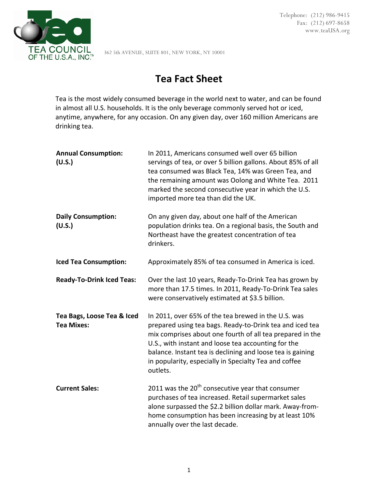

Telephone: (212) 986-9415 Fax: (212) 697-8658 www.teaUSA.org

362 5th AVENUE, SUITE 801, NEW YORK, NY 10001

## **Tea Fact Sheet**

Tea is the most widely consumed beverage in the world next to water, and can be found in almost all U.S. households. It is the only beverage commonly served hot or iced, anytime, anywhere, for any occasion. On any given day, over 160 million Americans are drinking tea.

| <b>Annual Consumption:</b><br>(U.S.)            | In 2011, Americans consumed well over 65 billion<br>servings of tea, or over 5 billion gallons. About 85% of all<br>tea consumed was Black Tea, 14% was Green Tea, and<br>the remaining amount was Oolong and White Tea. 2011<br>marked the second consecutive year in which the U.S.<br>imported more tea than did the UK.                                            |
|-------------------------------------------------|------------------------------------------------------------------------------------------------------------------------------------------------------------------------------------------------------------------------------------------------------------------------------------------------------------------------------------------------------------------------|
| <b>Daily Consumption:</b><br>(U.S.)             | On any given day, about one half of the American<br>population drinks tea. On a regional basis, the South and<br>Northeast have the greatest concentration of tea<br>drinkers.                                                                                                                                                                                         |
| <b>Iced Tea Consumption:</b>                    | Approximately 85% of tea consumed in America is iced.                                                                                                                                                                                                                                                                                                                  |
| <b>Ready-To-Drink Iced Teas:</b>                | Over the last 10 years, Ready-To-Drink Tea has grown by<br>more than 17.5 times. In 2011, Ready-To-Drink Tea sales<br>were conservatively estimated at \$3.5 billion.                                                                                                                                                                                                  |
| Tea Bags, Loose Tea & Iced<br><b>Tea Mixes:</b> | In 2011, over 65% of the tea brewed in the U.S. was<br>prepared using tea bags. Ready-to-Drink tea and iced tea<br>mix comprises about one fourth of all tea prepared in the<br>U.S., with instant and loose tea accounting for the<br>balance. Instant tea is declining and loose tea is gaining<br>in popularity, especially in Specialty Tea and coffee<br>outlets. |
| <b>Current Sales:</b>                           | 2011 was the 20 <sup>th</sup> consecutive year that consumer<br>purchases of tea increased. Retail supermarket sales<br>alone surpassed the \$2.2 billion dollar mark. Away-from-<br>home consumption has been increasing by at least 10%<br>annually over the last decade.                                                                                            |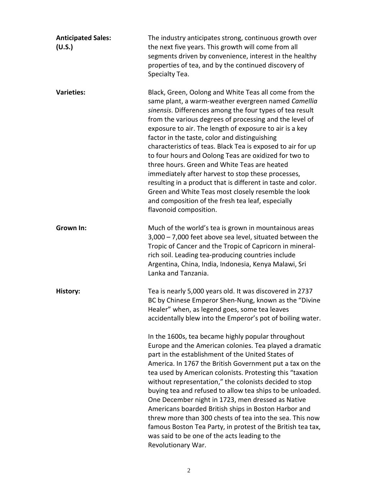| <b>Anticipated Sales:</b><br>(U.S.) | The industry anticipates strong, continuous growth over<br>the next five years. This growth will come from all<br>segments driven by convenience, interest in the healthy<br>properties of tea, and by the continued discovery of<br>Specialty Tea.                                                                                                                                                                                                                                                                                                                                                                                                                                                                                                                                 |
|-------------------------------------|-------------------------------------------------------------------------------------------------------------------------------------------------------------------------------------------------------------------------------------------------------------------------------------------------------------------------------------------------------------------------------------------------------------------------------------------------------------------------------------------------------------------------------------------------------------------------------------------------------------------------------------------------------------------------------------------------------------------------------------------------------------------------------------|
| <b>Varieties:</b>                   | Black, Green, Oolong and White Teas all come from the<br>same plant, a warm-weather evergreen named Camellia<br>sinensis. Differences among the four types of tea result<br>from the various degrees of processing and the level of<br>exposure to air. The length of exposure to air is a key<br>factor in the taste, color and distinguishing<br>characteristics of teas. Black Tea is exposed to air for up<br>to four hours and Oolong Teas are oxidized for two to<br>three hours. Green and White Teas are heated<br>immediately after harvest to stop these processes,<br>resulting in a product that is different in taste and color.<br>Green and White Teas most closely resemble the look<br>and composition of the fresh tea leaf, especially<br>flavonoid composition. |
| <b>Grown In:</b>                    | Much of the world's tea is grown in mountainous areas<br>3,000 - 7,000 feet above sea level, situated between the<br>Tropic of Cancer and the Tropic of Capricorn in mineral-<br>rich soil. Leading tea-producing countries include<br>Argentina, China, India, Indonesia, Kenya Malawi, Sri<br>Lanka and Tanzania.                                                                                                                                                                                                                                                                                                                                                                                                                                                                 |
| History:                            | Tea is nearly 5,000 years old. It was discovered in 2737<br>BC by Chinese Emperor Shen-Nung, known as the "Divine<br>Healer" when, as legend goes, some tea leaves<br>accidentally blew into the Emperor's pot of boiling water.                                                                                                                                                                                                                                                                                                                                                                                                                                                                                                                                                    |
|                                     | In the 1600s, tea became highly popular throughout<br>Europe and the American colonies. Tea played a dramatic<br>part in the establishment of the United States of<br>America. In 1767 the British Government put a tax on the<br>tea used by American colonists. Protesting this "taxation<br>without representation," the colonists decided to stop<br>buying tea and refused to allow tea ships to be unloaded.<br>One December night in 1723, men dressed as Native<br>Americans boarded British ships in Boston Harbor and<br>threw more than 300 chests of tea into the sea. This now<br>famous Boston Tea Party, in protest of the British tea tax,<br>was said to be one of the acts leading to the<br>Revolutionary War.                                                   |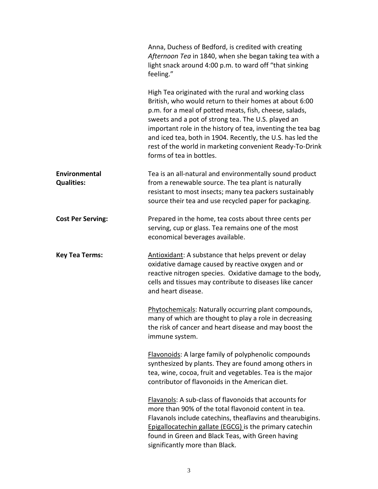| Anna, Duchess of Bedford, is credited with creating<br>Afternoon Tea in 1840, when she began taking tea with a<br>light snack around 4:00 p.m. to ward off "that sinking<br>feeling."                                                                                                                                                                                                                                                               |
|-----------------------------------------------------------------------------------------------------------------------------------------------------------------------------------------------------------------------------------------------------------------------------------------------------------------------------------------------------------------------------------------------------------------------------------------------------|
| High Tea originated with the rural and working class<br>British, who would return to their homes at about 6:00<br>p.m. for a meal of potted meats, fish, cheese, salads,<br>sweets and a pot of strong tea. The U.S. played an<br>important role in the history of tea, inventing the tea bag<br>and iced tea, both in 1904. Recently, the U.S. has led the<br>rest of the world in marketing convenient Ready-To-Drink<br>forms of tea in bottles. |
| Tea is an all-natural and environmentally sound product<br>from a renewable source. The tea plant is naturally<br>resistant to most insects; many tea packers sustainably<br>source their tea and use recycled paper for packaging.                                                                                                                                                                                                                 |
| Prepared in the home, tea costs about three cents per<br>serving, cup or glass. Tea remains one of the most<br>economical beverages available.                                                                                                                                                                                                                                                                                                      |
| Antioxidant: A substance that helps prevent or delay<br>oxidative damage caused by reactive oxygen and or<br>reactive nitrogen species. Oxidative damage to the body,<br>cells and tissues may contribute to diseases like cancer<br>and heart disease.                                                                                                                                                                                             |
| Phytochemicals: Naturally occurring plant compounds,<br>many of which are thought to play a role in decreasing<br>the risk of cancer and heart disease and may boost the<br>immune system.                                                                                                                                                                                                                                                          |
| Flavonoids: A large family of polyphenolic compounds<br>synthesized by plants. They are found among others in<br>tea, wine, cocoa, fruit and vegetables. Tea is the major<br>contributor of flavonoids in the American diet.                                                                                                                                                                                                                        |
| Flavanols: A sub-class of flavonoids that accounts for<br>more than 90% of the total flavonoid content in tea.<br>Flavanols include catechins, theaflavins and thearubigins.<br>Epigallocatechin gallate (EGCG) is the primary catechin<br>found in Green and Black Teas, with Green having<br>significantly more than Black.                                                                                                                       |
|                                                                                                                                                                                                                                                                                                                                                                                                                                                     |